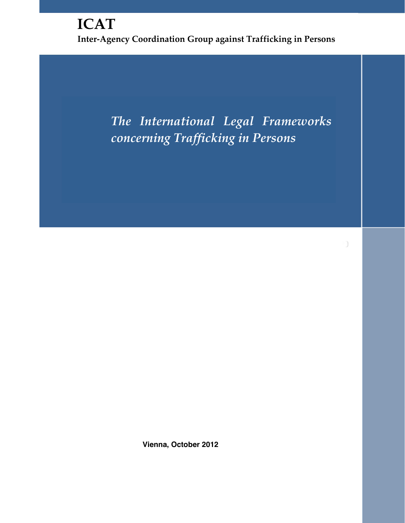# **ICAT Inter-Agency Coordination Group against Trafficking in Persons**

*The International Legal Frameworks concerning Trafficking in Persons*

**Vienna, October 2012**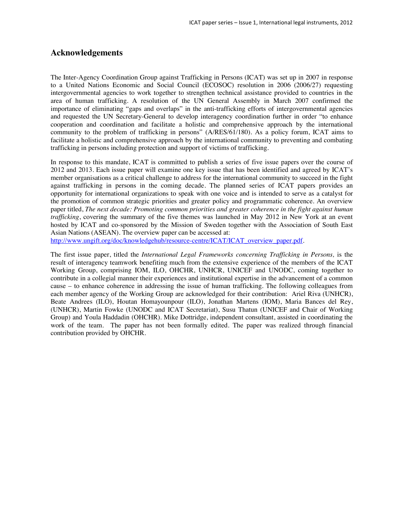## **Acknowledgements**

The Inter-Agency Coordination Group against Trafficking in Persons (ICAT) was set up in 2007 in response to a United Nations Economic and Social Council (ECOSOC) resolution in 2006 (2006/27) requesting intergovernmental agencies to work together to strengthen technical assistance provided to countries in the area of human trafficking. A resolution of the UN General Assembly in March 2007 confirmed the importance of eliminating "gaps and overlaps" in the anti-trafficking efforts of intergovernmental agencies and requested the UN Secretary-General to develop interagency coordination further in order "to enhance cooperation and coordination and facilitate a holistic and comprehensive approach by the international community to the problem of trafficking in persons" (A/RES/61/180). As a policy forum, ICAT aims to facilitate a holistic and comprehensive approach by the international community to preventing and combating trafficking in persons including protection and support of victims of trafficking.

In response to this mandate, ICAT is committed to publish a series of five issue papers over the course of 2012 and 2013. Each issue paper will examine one key issue that has been identified and agreed by ICAT's member organisations as a critical challenge to address for the international community to succeed in the fight against trafficking in persons in the coming decade. The planned series of ICAT papers provides an opportunity for international organizations to speak with one voice and is intended to serve as a catalyst for the promotion of common strategic priorities and greater policy and programmatic coherence. An overview paper titled, *The next decade: Promoting common priorities and greater coherence in the fight against human trafficking*, covering the summary of the five themes was launched in May 2012 in New York at an event hosted by ICAT and co-sponsored by the Mission of Sweden together with the Association of South East Asian Nations (ASEAN). The overview paper can be accessed at:

http://www.ungift.org/doc/knowledgehub/resource-centre/ICAT/ICAT\_overview\_paper.pdf.

The first issue paper, titled the *International Legal Frameworks concerning Trafficking in Persons,* is the result of interagency teamwork benefiting much from the extensive experience of the members of the ICAT Working Group, comprising IOM, ILO, OHCHR, UNHCR, UNICEF and UNODC, coming together to contribute in a collegial manner their experiences and institutional expertise in the advancement of a common cause – to enhance coherence in addressing the issue of human trafficking. The following colleagues from each member agency of the Working Group are acknowledged for their contribution: Ariel Riva (UNHCR), Beate Andrees (ILO), Houtan Homayounpour (ILO), Jonathan Martens (IOM), Maria Bances del Rey, (UNHCR), Martin Fowke (UNODC and ICAT Secretariat), Susu Thatun (UNICEF and Chair of Working Group) and Youla Haddadin (OHCHR). Mike Dottridge, independent consultant, assisted in coordinating the work of the team. The paper has not been formally edited. The paper was realized through financial contribution provided by OHCHR.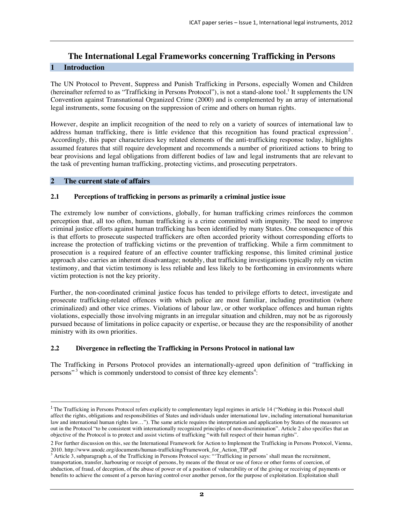## **The International Legal Frameworks concerning Trafficking in Persons**

## **1 Introduction**

The UN Protocol to Prevent, Suppress and Punish Trafficking in Persons, especially Women and Children (hereinafter referred to as "Trafficking in Persons Protocol"), is not a stand-alone tool.<sup>1</sup> It supplements the UN Convention against Transnational Organized Crime (2000) and is complemented by an array of international legal instruments, some focusing on the suppression of crime and others on human rights.

However, despite an implicit recognition of the need to rely on a variety of sources of international law to address human trafficking, there is little evidence that this recognition has found practical expression<sup>2</sup>. Accordingly, this paper characterizes key related elements of the anti-trafficking response today, highlights assumed features that still require development and recommends a number of prioritized actions to bring to bear provisions and legal obligations from different bodies of law and legal instruments that are relevant to the task of preventing human trafficking, protecting victims, and prosecuting perpetrators.

## **2 The current state of affairs**

 $\ddot{\phantom{a}}$ 

## **2.1 Perceptions of trafficking in persons as primarily a criminal justice issue**

The extremely low number of convictions, globally, for human trafficking crimes reinforces the common perception that, all too often, human trafficking is a crime committed with impunity. The need to improve criminal justice efforts against human trafficking has been identified by many States. One consequence of this is that efforts to prosecute suspected traffickers are often accorded priority without corresponding efforts to increase the protection of trafficking victims or the prevention of trafficking. While a firm commitment to prosecution is a required feature of an effective counter trafficking response, this limited criminal justice approach also carries an inherent disadvantage; notably, that trafficking investigations typically rely on victim testimony, and that victim testimony is less reliable and less likely to be forthcoming in environments where victim protection is not the key priority.

Further, the non-coordinated criminal justice focus has tended to privilege efforts to detect, investigate and prosecute trafficking-related offences with which police are most familiar, including prostitution (where criminalized) and other vice crimes. Violations of labour law, or other workplace offences and human rights violations, especially those involving migrants in an irregular situation and children, may not be as rigorously pursued because of limitations in police capacity or expertise, or because they are the responsibility of another ministry with its own priorities.

## **2.2 Divergence in reflecting the Trafficking in Persons Protocol in national law**

The Trafficking in Persons Protocol provides an internationally-agreed upon definition of "trafficking in persons"<sup>3</sup> which is commonly understood to consist of three key elements<sup>4</sup>:

<sup>&</sup>lt;sup>1</sup> The Trafficking in Persons Protocol refers explicitly to complementary legal regimes in article 14 ("Nothing in this Protocol shall affect the rights, obligations and responsibilities of States and individuals under international law, including international humanitarian law and international human rights law…"). The same article requires the interpretation and application by States of the measures set out in the Protocol "to be consistent with internationally recognized principles of non-discrimination". Article 2 also specifies that an objective of the Protocol is to protect and assist victims of trafficking "with full respect of their human rights".

<sup>2</sup> For further discussion on this, see the International Framework for Action to Implement the Trafficking in Persons Protocol, Vienna, 2010. http://www.unodc.org/documents/human-trafficking/Framework\_for\_Action\_TIP.pdf <sup>3</sup>

 $3$  Article 3, subparagraph a, of the Trafficking in Persons Protocol says: "Trafficking in persons' shall mean the recruitment, transportation, transfer, harbouring or receipt of persons, by means of the threat or use of force or other forms of coercion, of abduction, of fraud, of deception, of the abuse of power or of a position of vulnerability or of the giving or receiving of payments or benefits to achieve the consent of a person having control over another person, for the purpose of exploitation. Exploitation shall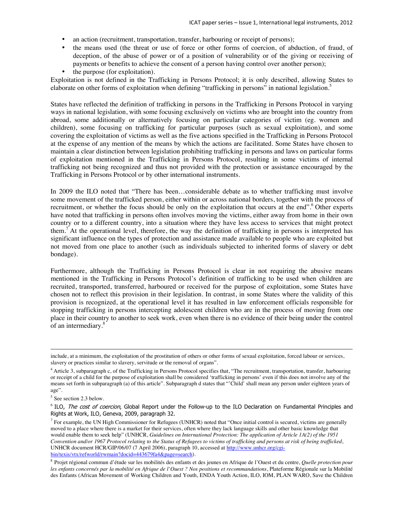- an action (recruitment, transportation, transfer, harbouring or receipt of persons);
- the means used (the threat or use of force or other forms of coercion, of abduction, of fraud, of deception, of the abuse of power or of a position of vulnerability or of the giving or receiving of payments or benefits to achieve the consent of a person having control over another person);
- the purpose (for exploitation).

Exploitation is not defined in the Trafficking in Persons Protocol; it is only described, allowing States to elaborate on other forms of exploitation when defining "trafficking in persons" in national legislation.<sup>5</sup>

States have reflected the definition of trafficking in persons in the Trafficking in Persons Protocol in varying ways in national legislation, with some focusing exclusively on victims who are brought into the country from abroad, some additionally or alternatively focusing on particular categories of victim (eg. women and children), some focusing on trafficking for particular purposes (such as sexual exploitation), and some covering the exploitation of victims as well as the five actions specified in the Trafficking in Persons Protocol at the expense of any mention of the means by which the actions are facilitated. Some States have chosen to maintain a clear distinction between legislation prohibiting trafficking in persons and laws on particular forms of exploitation mentioned in the Trafficking in Persons Protocol, resulting in some victims of internal trafficking not being recognized and thus not provided with the protection or assistance encouraged by the Trafficking in Persons Protocol or by other international instruments.

In 2009 the ILO noted that "There has been…considerable debate as to whether trafficking must involve some movement of the trafficked person, either within or across national borders, together with the process of recruitment, or whether the focus should be only on the exploitation that occurs at the end".<sup>6</sup> Other experts have noted that trafficking in persons often involves moving the victims, either away from home in their own country or to a different country, into a situation where they have less access to services that might protect them.<sup>7</sup> At the operational level, therefore, the way the definition of trafficking in persons is interpreted has significant influence on the types of protection and assistance made available to people who are exploited but not moved from one place to another (such as individuals subjected to inherited forms of slavery or debt bondage).

Furthermore, although the Trafficking in Persons Protocol is clear in not requiring the abusive means mentioned in the Trafficking in Persons Protocol's definition of trafficking to be used when children are recruited, transported, transferred, harboured or received for the purpose of exploitation, some States have chosen not to reflect this provision in their legislation. In contrast, in some States where the validity of this provision is recognized, at the operational level it has resulted in law enforcement officials responsible for stopping trafficking in persons intercepting adolescent children who are in the process of moving from one place in their country to another to seek work, even when there is no evidence of their being under the control of an intermediary.<sup>8</sup>

include, at a minimum, the exploitation of the prostitution of others or other forms of sexual exploitation, forced labour or services, slavery or practices similar to slavery, servitude or the removal of organs".

<sup>&</sup>lt;sup>4</sup> Article 3, subparagraph c, of the Trafficking in Persons Protocol specifies that, "The recruitment, transportation, transfer, harbouring or receipt of a child for the purpose of exploitation shall be considered 'trafficking in persons' even if this does not involve any of the means set forth in subparagraph (a) of this article". Subparagraph d states that "'Child' shall mean any person under eighteen years of age".

<sup>&</sup>lt;sup>5</sup> See section 2.3 below.

<sup>&</sup>lt;sup>6</sup> ILO, *The cost of coercion*, Global Report under the Follow-up to the ILO Declaration on Fundamental Principles and Rights at Work, ILO, Geneva, 2009, paragraph 32.

 $<sup>7</sup>$  For example, the UN High Commissioner for Refugees (UNHCR) noted that "Once initial control is secured, victims are generally</sup> moved to a place where there is a market for their services, often where they lack language skills and other basic knowledge that would enable them to seek help" (UNHCR, *Guidelines on International Protection: The application of Article 1A(2) of the 1951 Convention and/or 1967 Protocol relating to the Status of Refugees to victims of trafficking and persons at risk of being trafficked*, UNHCR document HCR/GIP/06/07 (7 April 2006), paragraph 10, accessed at http://www.unhcr.org/cgibin/texis/vtx/refworld/rwmain?docid=443679fa4&page=search).

<sup>8</sup> Projet régional commun d'étude sur les mobilités des enfants et des jeunes en Afrique de l'Ouest et du centre, *Quelle protection pour les enfants concernés par la mobilité en Afrique de l'Ouest ? Nos positions et recommandations*, Plateforme Régionale sur la Mobilité des Enfants (African Movement of Working Children and Youth, ENDA Youth Action, ILO, IOM, PLAN WARO, Save the Children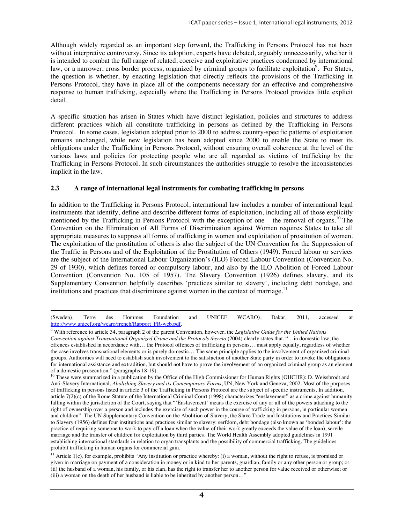Although widely regarded as an important step forward, the Trafficking in Persons Protocol has not been without interpretive controversy. Since its adoption, experts have debated, arguably unnecessarily, whether it is intended to combat the full range of related, coercive and exploitative practices condemned by international law, or a narrower, cross border process, organized by criminal groups to facilitate exploitation<sup>9</sup>. For States, the question is whether, by enacting legislation that directly reflects the provisions of the Trafficking in Persons Protocol, they have in place all of the components necessary for an effective and comprehensive response to human trafficking, especially where the Trafficking in Persons Protocol provides little explicit detail.

A specific situation has arisen in States which have distinct legislation, policies and structures to address different practices which all constitute trafficking in persons as defined by the Trafficking in Persons Protocol. In some cases, legislation adopted prior to 2000 to address country-specific patterns of exploitation remains unchanged, while new legislation has been adopted since 2000 to enable the State to meet its obligations under the Trafficking in Persons Protocol, without ensuring overall coherence at the level of the various laws and policies for protecting people who are all regarded as victims of trafficking by the Trafficking in Persons Protocol. In such circumstances the authorities struggle to resolve the inconsistencies implicit in the law.

## **2.3 A range of international legal instruments for combating trafficking in persons**

In addition to the Trafficking in Persons Protocol, international law includes a number of international legal instruments that identify, define and describe different forms of exploitation, including all of those explicitly mentioned by the Trafficking in Persons Protocol with the exception of one – the removal of organs.<sup>10</sup> The Convention on the Elimination of All Forms of Discrimination against Women requires States to take all appropriate measures to suppress all forms of trafficking in women and exploitation of prostitution of women. The exploitation of the prostitution of others is also the subject of the UN Convention for the Suppression of the Traffic in Persons and of the Exploitation of the Prostitution of Others (1949). Forced labour or services are the subject of the International Labour Organization's (ILO) Forced Labour Convention (Convention No. 29 of 1930), which defines forced or compulsory labour, and also by the ILO Abolition of Forced Labour Convention (Convention No. 105 of 1957). The Slavery Convention (1926) defines slavery, and its Supplementary Convention helpfully describes 'practices similar to slavery', including debt bondage, and institutions and practices that discriminate against women in the context of marriage.<sup>11</sup>

 <sup>(</sup>Sweden), Terre des Hommes Foundation and UNICEF WCARO), Dakar, 2011, accessed at http://www.unicef.org/wcaro/french/Rapport\_FR-web.pdf.

<sup>9</sup> With reference to article 34, paragraph 2 of the parent Convention, however, the *Legislative Guide for the United Nations Convention against Transnational Organized Crime and the Protocols thereto* (2004) clearly states that, "…in domestic law, the offences established in accordance with… the Protocol offences of trafficking in persons… must apply equally, regardless of whether the case involves transnational elements or is purely domestic… The same principle applies to the involvement of organized criminal groups. Authorities will need to establish such involvement to the satisfaction of another State party in order to invoke the obligations for international assistance and extradition, but should not have to prove the involvement of an organized criminal group as an element of a domestic prosecution." (paragraphs 18-19).

 $10$  These were summarized in a publication by the Office of the High Commissioner for Human Rights (OHCHR): D. Weissbrodt and Anti-Slavery International, *Abolishing Slavery and its Contemporary Forms*, UN, New York and Geneva, 2002. Most of the purposes of trafficking in persons listed in article 3 of the Trafficking in Persons Protocol are the subject of specific instruments. In addition, article 7(2)(c) of the Rome Statute of the International Criminal Court (1998) characterizes "enslavement" as a crime against humanity falling within the jurisdiction of the Court, saying that "'Enslavement' means the exercise of any or all of the powers attaching to the right of ownership over a person and includes the exercise of such power in the course of trafficking in persons, in particular women and children". The UN Supplementary Convention on the Abolition of Slavery, the Slave Trade and Institutions and Practices Similar to Slavery (1956) defines four institutions and practices similar to slavery: serfdom, debt bondage (also known as 'bonded labour': the practice of requiring someone to work to pay off a loan when the value of their work greatly exceeds the value of the loan), servile marriage and the transfer of children for exploitation by third parties. The World Health Assembly adopted guidelines in 1991 establishing international standards in relation to organ transplants and the possibility of commercial trafficking. The guidelines prohibit trafficking in human organs for commercial gain.

 $11$  Article 1(c), for example, prohibits "Any institution or practice whereby: (i) a woman, without the right to refuse, is promised or given in marriage on payment of a consideration in money or in kind to her parents, guardian, family or any other person or group; or (ii) the husband of a woman, his family, or his clan, has the right to transfer her to another person for value received or otherwise; or (iii) a woman on the death of her husband is liable to be inherited by another person…"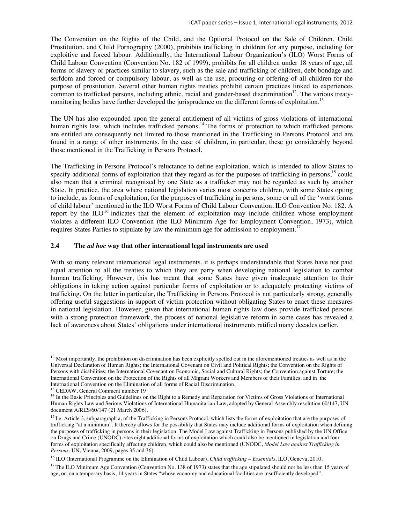The Convention on the Rights of the Child, and the Optional Protocol on the Sale of Children, Child Prostitution, and Child Pornography (2000), prohibits trafficking in children for any purpose, including for exploitive and forced labour. Additionally, the International Labour Organization's (ILO) Worst Forms of Child Labour Convention (Convention No. 182 of 1999), prohibits for all children under 18 years of age, all forms of slavery or practices similar to slavery, such as the sale and trafficking of children, debt bondage and serfdom and forced or compulsory labour, as well as the use, procuring or offering of all children for the purpose of prostitution. Several other human rights treaties prohibit certain practices linked to experiences common to trafficked persons, including ethnic, racial and gender-based discrimination<sup>12</sup>. The various treatymonitoring bodies have further developed the jurisprudence on the different forms of exploitation.<sup>13</sup>

The UN has also expounded upon the general entitlement of all victims of gross violations of international human rights law, which includes trafficked persons.<sup>14</sup> The forms of protection to which trafficked persons are entitled are consequently not limited to those mentioned in the Trafficking in Persons Protocol and are found in a range of other instruments. In the case of children, in particular, these go considerably beyond those mentioned in the Trafficking in Persons Protocol.

The Trafficking in Persons Protocol's reluctance to define exploitation, which is intended to allow States to specify additional forms of exploitation that they regard as for the purposes of trafficking in persons,<sup>15</sup> could also mean that a criminal recognized by one State as a trafficker may not be regarded as such by another State. In practice, the area where national legislation varies most concerns children, with some States opting to include, as forms of exploitation, for the purposes of trafficking in persons, some or all of the 'worst forms of child labour' mentioned in the ILO Worst Forms of Child Labour Convention, ILO Convention No. 182. A report by the  $ILO<sup>16</sup>$  indicates that the element of exploitation may include children whose employment violates a different ILO Convention (the ILO Minimum Age for Employment Convention, 1973), which requires States Parties to stipulate by law the minimum age for admission to employment.<sup>17</sup>

#### **2.4 The** *ad hoc* **way that other international legal instruments are used**

With so many relevant international legal instruments, it is perhaps understandable that States have not paid equal attention to all the treaties to which they are party when developing national legislation to combat human trafficking. However, this has meant that some States have given inadequate attention to their obligations in taking action against particular forms of exploitation or to adequately protecting victims of trafficking. On the latter in particular, the Trafficking in Persons Protocol is not particularly strong, generally offering useful suggestions in support of victim protection without obligating States to enact these measures in national legislation. However, given that international human rights law does provide trafficked persons with a strong protection framework, the process of national legislative reform in some cases has revealed a lack of awareness about States' obligations under international instruments ratified many decades earlier.

 $\ddot{\phantom{a}}$ 

 $12$  Most importantly, the prohibition on discrimination has been explicitly spelled out in the aforementioned treaties as well as in the Universal Declaration of Human Rights; the International Covenant on Civil and Political Rights; the Convention on the Rights of Persons with disabilities; the International Covenant on Economic, Social and Cultural Rights; the Convention against Torture; the International Convention on the Protection of the Rights of all Migrant Workers and Members of their Families; and in the International Convention on the Elimination of all forms of Racial Discrimination. 13 CEDAW, General Comment number 19

<sup>&</sup>lt;sup>14</sup> In the Basic Principles and Guidelines on the Right to a Remedy and Reparation for Victims of Gross Violations of International Human Rights Law and Serious Violations of International Humanitarian Law, adopted by General Assembly resolution 60/147, UN document A/RES/60/147 (21 March 2006).

<sup>&</sup>lt;sup>15</sup> I.e. Article 3, subparagraph a, of the Trafficking in Persons Protocol, which lists the forms of exploitation that are the purposes of trafficking "at a minimum". It thereby allows for the possibility that States may include additional forms of exploitation when defining the purposes of trafficking in persons in their legislation. The Model Law against Trafficking in Persons published by the UN Office on Drugs and Crime (UNODC) cites eight additional forms of exploitation which could also be mentioned in legislation and four forms of exploitation specifically affecting children, which could also be mentioned (UNODC, *Model Law against Trafficking in Persons*, UN, Vienna, 2009, pages 35 and 36).

<sup>16</sup> ILO (International Programme on the Elimination of Child Labour), *Child trafficking – Essentials*, ILO, Geneva, 2010.

<sup>&</sup>lt;sup>17</sup> The ILO Minimum Age Convention (Convention No. 138 of 1973) states that the age stipulated should not be less than 15 years of age, or, on a temporary basis, 14 years in States "whose economy and educational facilities are insufficiently developed".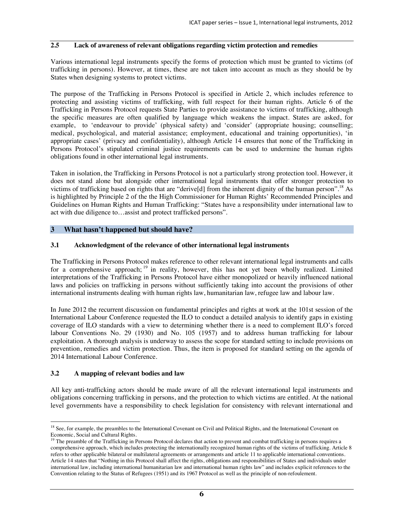## **2.5 Lack of awareness of relevant obligations regarding victim protection and remedies**

Various international legal instruments specify the forms of protection which must be granted to victims (of trafficking in persons). However, at times, these are not taken into account as much as they should be by States when designing systems to protect victims.

The purpose of the Trafficking in Persons Protocol is specified in Article 2, which includes reference to protecting and assisting victims of trafficking, with full respect for their human rights. Article 6 of the Trafficking in Persons Protocol requests State Parties to provide assistance to victims of trafficking, although the specific measures are often qualified by language which weakens the impact. States are asked, for example, to 'endeavour to provide' (physical safety) and 'consider' (appropriate housing; counselling; medical, psychological, and material assistance; employment, educational and training opportunities), 'in appropriate cases' (privacy and confidentiality), although Article 14 ensures that none of the Trafficking in Persons Protocol's stipulated criminal justice requirements can be used to undermine the human rights obligations found in other international legal instruments.

Taken in isolation, the Trafficking in Persons Protocol is not a particularly strong protection tool. However, it does not stand alone but alongside other international legal instruments that offer stronger protection to victims of trafficking based on rights that are "derive[d] from the inherent dignity of the human person".<sup>18</sup> As is highlighted by Principle 2 of the the High Commissioner for Human Rights' Recommended Principles and Guidelines on Human Rights and Human Trafficking: "States have a responsibility under international law to act with due diligence to…assist and protect trafficked persons".

## **3 What hasn't happened but should have?**

## **3.1 Acknowledgment of the relevance of other international legal instruments**

The Trafficking in Persons Protocol makes reference to other relevant international legal instruments and calls for a comprehensive approach;<sup>19</sup> in reality, however, this has not yet been wholly realized. Limited interpretations of the Trafficking in Persons Protocol have either monopolized or heavily influenced national laws and policies on trafficking in persons without sufficiently taking into account the provisions of other international instruments dealing with human rights law, humanitarian law, refugee law and labour law.

In June 2012 the recurrent discussion on fundamental principles and rights at work at the 101st session of the International Labour Conference requested the ILO to conduct a detailed analysis to identify gaps in existing coverage of ILO standards with a view to determining whether there is a need to complement ILO's forced labour Conventions No. 29 (1930) and No. 105 (1957) and to address human trafficking for labour exploitation. A thorough analysis is underway to assess the scope for standard setting to include provisions on prevention, remedies and victim protection. Thus, the item is proposed for standard setting on the agenda of 2014 International Labour Conference.

#### **3.2 A mapping of relevant bodies and law**

All key anti-trafficking actors should be made aware of all the relevant international legal instruments and obligations concerning trafficking in persons, and the protection to which victims are entitled. At the national level governments have a responsibility to check legislation for consistency with relevant international and

 $\ddot{\phantom{a}}$ <sup>18</sup> See, for example, the preambles to the International Covenant on Civil and Political Rights, and the International Covenant on Economic, Social and Cultural Rights.

<sup>&</sup>lt;sup>19</sup> The preamble of the Trafficking in Persons Protocol declares that action to prevent and combat trafficking in persons requires a comprehensive approach, which includes protecting the internationally recognized human rights of the victims of trafficking. Article 8 refers to other applicable bilateral or multilateral agreements or arrangements and article 11 to applicable international conventions. Article 14 states that "Nothing in this Protocol shall affect the rights, obligations and responsibilities of States and individuals under international law, including international humanitarian law and international human rights law" and includes explicit references to the Convention relating to the Status of Refugees (1951) and its 1967 Protocol as well as the principle of non-refoulement.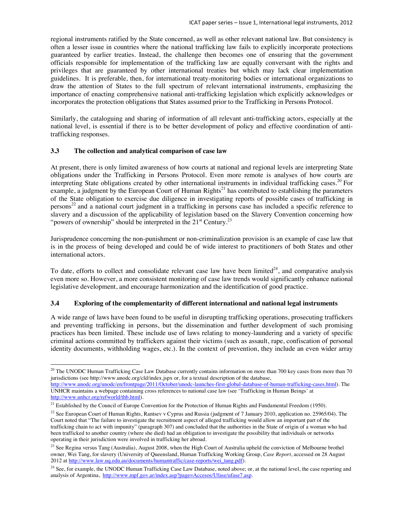regional instruments ratified by the State concerned, as well as other relevant national law. But consistency is often a lesser issue in countries where the national trafficking law fails to explicitly incorporate protections guaranteed by earlier treaties. Instead, the challenge then becomes one of ensuring that the government officials responsible for implementation of the trafficking law are equally conversant with the rights and privileges that are guaranteed by other international treaties but which may lack clear implementation guidelines. It is preferable, then, for international treaty-monitoring bodies or international organizations to draw the attention of States to the full spectrum of relevant international instruments, emphasizing the importance of enacting comprehensive national anti-trafficking legislation which explicitly acknowledges or incorporates the protection obligations that States assumed prior to the Trafficking in Persons Protocol.

Similarly, the cataloguing and sharing of information of all relevant anti-trafficking actors, especially at the national level, is essential if there is to be better development of policy and effective coordination of antitrafficking responses.

#### **3.3 The collection and analytical comparison of case law**

 $\overline{a}$ 

At present, there is only limited awareness of how courts at national and regional levels are interpreting State obligations under the Trafficking in Persons Protocol. Even more remote is analyses of how courts are interpreting State obligations created by other international instruments in individual trafficking cases.<sup>20</sup> For example, a judgment by the European Court of Human Rights<sup>21</sup> has contributed to establishing the parameters of the State obligation to exercise due diligence in investigating reports of possible cases of trafficking in persons<sup>22</sup> and a national court judgment in a trafficking in persons case has included a specific reference to slavery and a discussion of the applicability of legislation based on the Slavery Convention concerning how "powers of ownership" should be interpreted in the  $21<sup>st</sup>$  Century.<sup>23</sup>

Jurisprudence concerning the non-punishment or non-criminalization provision is an example of case law that is in the process of being developed and could be of wide interest to practitioners of both States and other international actors.

To date, efforts to collect and consolidate relevant case law have been limited<sup>24</sup>, and comparative analysis even more so. However, a more consistent monitoring of case law trends would significantly enhance national legislative development, and encourage harmonization and the identification of good practice.

#### **3.4 Exploring of the complementarity of different international and national legal instruments**

A wide range of laws have been found to be useful in disrupting trafficking operations, prosecuting traffickers and preventing trafficking in persons, but the dissemination and further development of such promising practices has been limited. These include use of laws relating to money-laundering and a variety of specific criminal actions committed by traffickers against their victims (such as assault, rape, confiscation of personal identity documents, withholding wages, etc.). In the context of prevention, they include an even wider array

<sup>&</sup>lt;sup>20</sup> The UNODC Human Trafficking Case Law Database currently contains information on more than 700 key cases from more than 70 jurisdictions (see http://www.unodc.org/cld/index.jspx or, for a textual description of the database,

http://www.unodc.org/unodc/en/frontpage/2011/October/unodc-launches-first-global-database-of-human-trafficking-cases.html). The UNHCR maintains a webpage containing cross references to national case law (see 'Trafficking in Human Beings' at http://www.unhcr.org/refworld/thb.html).

 $21$  Established by the Council of Europe Convention for the Protection of Human Rights and Fundamental Freedom (1950).

<sup>&</sup>lt;sup>22</sup> See European Court of Human Rights, Rantsev v Cyprus and Russia (judgment of 7 January 2010, application no. 25965/04). The Court noted that "The failure to investigate the recruitment aspect of alleged trafficking would allow an important part of the trafficking chain to act with impunity" (paragraph 307) and concluded that the authorities in the State of origin of a woman who had been trafficked to another country (where she died) had an obligation to investigate the possibility that individuals or networks operating in their jurisdiction were involved in trafficking her abroad.

<sup>&</sup>lt;sup>23</sup> See Regina versus Tang (Australia), August 2008, when the High Court of Australia upheld the conviction of Melbourne brothel owner, Wei Tang, for slavery (University of Queensland, Human Trafficking Working Group, *Case Report*, accessed on 28 August 2012 at http://www.law.uq.edu.au/documents/humantraffic/case-reports/wei\_tang.pdf).

<sup>&</sup>lt;sup>24</sup> See, for example, the UNODC Human Trafficking Case Law Database, noted above; or, at the national level, the case reporting and analysis of Argentina, http://www.mpf.gov.ar/index.asp?page=Accesos/Ufase/ufase7.asp.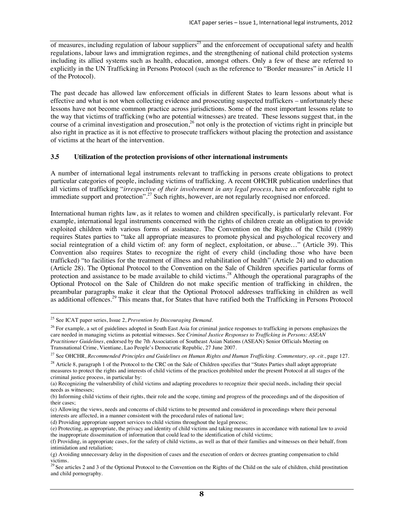of measures, including regulation of labour suppliers<sup>25</sup> and the enforcement of occupational safety and health regulations, labour laws and immigration regimes, and the strengthening of national child protection systems including its allied systems such as health, education, amongst others. Only a few of these are referred to explicitly in the UN Trafficking in Persons Protocol (such as the reference to "Border measures" in Article 11 of the Protocol).

The past decade has allowed law enforcement officials in different States to learn lessons about what is effective and what is not when collecting evidence and prosecuting suspected traffickers – unfortunately these lessons have not become common practice across jurisdictions. Some of the most important lessons relate to the way that victims of trafficking (who are potential witnesses) are treated. These lessons suggest that, in the course of a criminal investigation and prosecution,<sup>26</sup> not only is the protection of victims right in principle but also right in practice as it is not effective to prosecute traffickers without placing the protection and assistance of victims at the heart of the intervention.

## **3.5 Utilization of the protection provisions of other international instruments**

A number of international legal instruments relevant to trafficking in persons create obligations to protect particular categories of people, including victims of trafficking. A recent OHCHR publication underlines that all victims of trafficking "*irrespective of their involvement in any legal process*, have an enforceable right to immediate support and protection".<sup>27</sup> Such rights, however, are not regularly recognised nor enforced.

International human rights law, as it relates to women and children specifically, is particularly relevant. For example, international legal instruments concerned with the rights of children create an obligation to provide exploited children with various forms of assistance. The Convention on the Rights of the Child (1989) requires States parties to "take all appropriate measures to promote physical and psychological recovery and social reintegration of a child victim of: any form of neglect, exploitation, or abuse…" (Article 39). This Convention also requires States to recognize the right of every child (including those who have been trafficked) "to facilities for the treatment of illness and rehabilitation of health" (Article 24) and to education (Article 28). The Optional Protocol to the Convention on the Sale of Children specifies particular forms of protection and assistance to be made available to child victims.<sup>28</sup> Although the operational paragraphs of the Optional Protocol on the Sale of Children do not make specific mention of trafficking in children, the preambular paragraphs make it clear that the Optional Protocol addresses trafficking in children as well as additional offences.<sup>29</sup> This means that, for States that have ratified both the Trafficking in Persons Protocol

 $\ddot{\phantom{a}}$ 

(d) Providing appropriate support services to child victims throughout the legal process;

<sup>25</sup> See ICAT paper series, Issue 2, *Prevention by Discouraging Demand*.

<sup>&</sup>lt;sup>26</sup> For example, a set of guidelines adopted in South East Asia for criminal justice responses to trafficking in persons emphasizes the care needed in managing victims as potential witnesses. See *Criminal Justice Responses to Trafficking in Persons: ASEAN Practitioner Guidelines*, endorsed by the 7th Association of Southeast Asian Nations (ASEAN) Senior Officials Meeting on Transnational Crime, Vientiane, Lao People's Democratic Republic, 27 June 2007.

<sup>27</sup> See OHCHR, *Recommended Principles and Guidelines on Human Rights and Human Trafficking. Commentary, op. cit.*, page 127.

 $28$  Article 8, paragraph 1 of the Protocol to the CRC on the Sale of Children specifies that "States Parties shall adopt appropriate measures to protect the rights and interests of child victims of the practices prohibited under the present Protocol at all stages of the criminal justice process, in particular by:

<sup>(</sup>a) Recognizing the vulnerability of child victims and adapting procedures to recognize their special needs, including their special needs as witnesses;

<sup>(</sup>b) Informing child victims of their rights, their role and the scope, timing and progress of the proceedings and of the disposition of their cases;

<sup>(</sup>c) Allowing the views, needs and concerns of child victims to be presented and considered in proceedings where their personal interests are affected, in a manner consistent with the procedural rules of national law;

<sup>(</sup>e) Protecting, as appropriate, the privacy and identity of child victims and taking measures in accordance with national law to avoid the inappropriate dissemination of information that could lead to the identification of child victims;

<sup>(</sup>f) Providing, in appropriate cases, for the safety of child victims, as well as that of their families and witnesses on their behalf, from intimidation and retaliation;

<sup>(</sup>g) Avoiding unnecessary delay in the disposition of cases and the execution of orders or decrees granting compensation to child victims.

<sup>&</sup>lt;sup>29</sup> See articles 2 and 3 of the Optional Protocol to the Convention on the Rights of the Child on the sale of children, child prostitution and child pornography.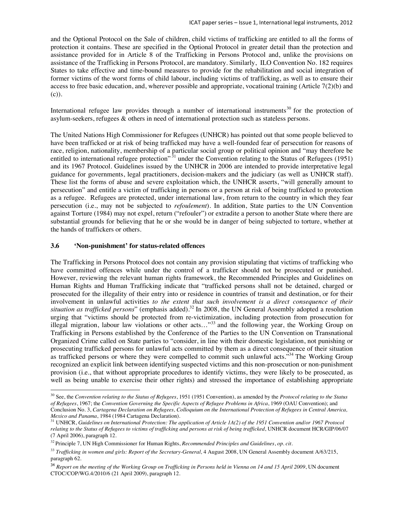and the Optional Protocol on the Sale of children, child victims of trafficking are entitled to all the forms of protection it contains. These are specified in the Optional Protocol in greater detail than the protection and assistance provided for in Article 8 of the Trafficking in Persons Protocol and, unlike the provisions on assistance of the Trafficking in Persons Protocol, are mandatory. Similarly, ILO Convention No. 182 requires States to take effective and time-bound measures to provide for the rehabilitation and social integration of former victims of the worst forms of child labour, including victims of trafficking, as well as to ensure their access to free basic education, and, wherever possible and appropriate, vocational training (Article 7(2)(b) and (c)).

International refugee law provides through a number of international instruments<sup>30</sup> for the protection of asylum-seekers, refugees & others in need of international protection such as stateless persons.

The United Nations High Commissioner for Refugees (UNHCR) has pointed out that some people believed to have been trafficked or at risk of being trafficked may have a well-founded fear of persecution for reasons of race, religion, nationality, membership of a particular social group or political opinion and "may therefore be entitled to international refugee protection<sup>" 31</sup> under the Convention relating to the Status of Refugees (1951) and its 1967 Protocol. Guidelines issued by the UNHCR in 2006 are intended to provide interpretative legal guidance for governments, legal practitioners, decision-makers and the judiciary (as well as UNHCR staff). These list the forms of abuse and severe exploitation which, the UNHCR asserts, "will generally amount to persecution" and entitle a victim of trafficking in persons or a person at risk of being trafficked to protection as a refugee. Refugees are protected, under international law, from return to the country in which they fear persecution (i.e., may not be subjected to *refoulement*). In addition, State parties to the UN Convention against Torture (1984) may not expel, return ("refouler") or extradite a person to another State where there are substantial grounds for believing that he or she would be in danger of being subjected to torture, whether at the hands of traffickers or others.

#### **3.6 'Non-punishment' for status-related offences**

 $\ddot{\phantom{a}}$ 

The Trafficking in Persons Protocol does not contain any provision stipulating that victims of trafficking who have committed offences while under the control of a trafficker should not be prosecuted or punished. However, reviewing the relevant human rights framework, the Recommended Principles and Guidelines on Human Rights and Human Trafficking indicate that "trafficked persons shall not be detained, charged or prosecuted for the illegality of their entry into or residence in countries of transit and destination, or for their involvement in unlawful activities *to the extent that such involvement is a direct consequence of their situation as trafficked persons*" (emphasis added).<sup>32</sup> In 2008, the UN General Assembly adopted a resolution urging that "victims should be protected from re-victimization, including protection from prosecution for illegal migration, labour law violations or other acts…"33 and the following year, the Working Group on Trafficking in Persons established by the Conference of the Parties to the UN Convention on Transnational Organized Crime called on State parties to "consider, in line with their domestic legislation, not punishing or prosecuting trafficked persons for unlawful acts committed by them as a direct consequence of their situation as trafficked persons or where they were compelled to commit such unlawful acts."<sup>34</sup> The Working Group recognized an explicit link between identifying suspected victims and this non-prosecution or non-punishment provision (i.e., that without appropriate procedures to identify victims, they were likely to be prosecuted, as well as being unable to exercise their other rights) and stressed the importance of establishing appropriate

<sup>30</sup> See, the *Convention relating to the Status of Refugees*, 1951 (1951 Convention), as amended by the *Protocol relating to the Status of Refugees*, 1967; the *Convention Governing the Specific Aspects of Refugee Problems in Africa*, 1969 (OAU Convention); and Conclusion No. 3, *Cartagena Declaration on Refugees, Colloquium on the International Protection of Refugees in Central America,* 

*Mexico and Panama*, 1984 (1984 Cartagena Declaration).<br><sup>31</sup> UNHCR, *Guidelines on International Protection: The application of Article 1A(2) of the 1951 Convention and/or 1967 Protocol relating to the Status of Refugees to victims of trafficking and persons at risk of being trafficked*, UNHCR document HCR/GIP/06/07 (7 April 2006), paragraph 12.

<sup>32</sup> Principle 7, UN High Commissioner for Human Rights, *Recommended Principles and Guidelines*, *op. cit*.

<sup>&</sup>lt;sup>33</sup> *Trafficking in women and girls: Report of the Secretary-General,* 4 August 2008, UN General Assembly document A/63/215, paragraph 62.

<sup>34</sup> *Report on the meeting of the Working Group on Trafficking in Persons held in Vienna on 14 and 15 April 2009*, UN document CTOC/COP/WG.4/2010/6 (21 April 2009), paragraph 12.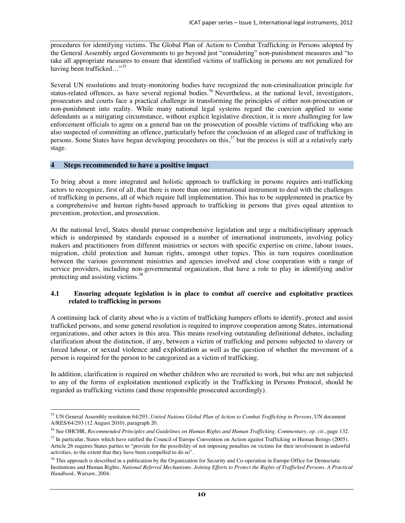procedures for identifying victims. The Global Plan of Action to Combat Trafficking in Persons adopted by the General Assembly urged Governments to go beyond just "considering" non-punishment measures and "to take all appropriate measures to ensure that identified victims of trafficking in persons are not penalized for having been trafficked..."<sup>35</sup>

Several UN resolutions and treaty-monitoring bodies have recognized the non-criminalization principle for status-related offences, as have several regional bodies.<sup>36</sup> Nevertheless, at the national level, investigators, prosecutors and courts face a practical challenge in transforming the principles of either non-prosecution or non-punishment into reality. While many national legal systems regard the coercion applied to some defendants as a mitigating circumstance, without explicit legislative direction, it is more challenging for law enforcement officials to agree on a general ban on the prosecution of possible victims of trafficking who are also suspected of committing an offence, particularly before the conclusion of an alleged case of trafficking in persons. Some States have begun developing procedures on this,<sup>37</sup> but the process is still at a relatively early stage.

## **4 Steps recommended to have a positive impact**

To bring about a more integrated and holistic approach to trafficking in persons requires anti-trafficking actors to recognize, first of all, that there is more than one international instrument to deal with the challenges of trafficking in persons, all of which require full implementation. This has to be supplemented in practice by a comprehensive and human rights-based approach to trafficking in persons that gives equal attention to prevention, protection, and prosecution.

At the national level, States should pursue comprehensive legislation and urge a multidisciplinary approach which is underpinned by standards espoused in a number of international instruments, involving policy makers and practitioners from different ministries or sectors with specific expertise on crime, labour issues, migration, child protection and human rights, amongst other topics. This in turn requires coordination between the various government ministries and agencies involved and close cooperation with a range of service providers, including non-governmental organization, that have a role to play in identifying and/or protecting and assisting victims.38

#### **4.1 Ensuring adequate legislation is in place to combat** *all* **coercive and exploitative practices related to trafficking in persons**

A continuing lack of clarity about who is a victim of trafficking hampers efforts to identify, protect and assist trafficked persons, and some general resolution is required to improve cooperation among States, international organizations, and other actors in this area. This means resolving outstanding definitional debates, including clarification about the distinction, if any, between a victim of trafficking and persons subjected to slavery or forced labour, or sexual violence and exploitation as well as the question of whether the movement of a person is required for the person to be categorized as a victim of trafficking.

In addition, clarification is required on whether children who are recruited to work, but who are not subjected to any of the forms of exploitation mentioned explicitly in the Trafficking in Persons Protocol, should be regarded as trafficking victims (and those responsible prosecuted accordingly).

 $\ddot{\phantom{a}}$ 35 UN General Assembly resolution 64/293, *United Nations Global Plan of Action to Combat Trafficking in Persons*, UN document A/RES/64/293 (12 August 2010), paragraph 20.

<sup>36</sup> See OHCHR, *Recommended Principles and Guidelines on Human Rights and Human Trafficking. Commentary, op. cit.*, page 132.

 $37$  In particular, States which have ratified the Council of Europe Convention on Action against Trafficking in Human Beings (2005). Article 26 requires States parties to "provide for the possibility of not imposing penalties on victims for their involvement in unlawful activities, to the extent that they have been compelled to do so".

<sup>&</sup>lt;sup>38</sup> This approach is described in a publication by the Organization for Security and Co-operation in Europe Office for Democratic Institutions and Human Rights, *National Referral Mechanisms. Joining Efforts to Protect the Rights of Trafficked Persons. A Practical Handbook*, Warsaw, 2004.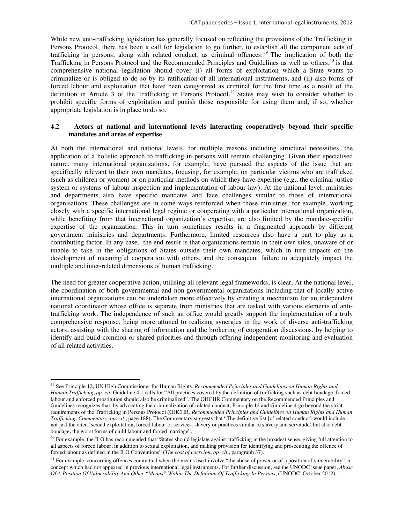While new anti-trafficking legislation has generally focused on reflecting the provisions of the Trafficking in Persons Protocol, there has been a call for legislation to go further, to establish all the component acts of trafficking in persons, along with related conduct, as criminal offences. 39 The implication of both the Trafficking in Persons Protocol and the Recommended Principles and Guidelines as well as others,<sup>40</sup> is that comprehensive national legislation should cover (i) all forms of exploitation which a State wants to criminalize or is obliged to do so by its ratification of all international instruments, and (ii) also forms of forced labour and exploitation that have been categorized as criminal for the first time as a result of the definition in Article 3 of the Trafficking in Persons Protocol.<sup>41</sup> States may wish to consider whether to prohibit specific forms of exploitation and punish those responsible for using them and, if so, whether appropriate legislation is in place to do so.

#### **4.2 Actors at national and international levels interacting cooperatively beyond their specific mandates and areas of expertise**

At both the international and national levels, for multiple reasons including structural necessities, the application of a holistic approach to trafficking in persons will remain challenging. Given their specialised nature, many international organizations, for example, have pursued the aspects of the issue that are specifically relevant to their own mandates, focusing, for example, on particular victims who are trafficked (such as children or women) or on particular methods on which they have expertise (e.g., the criminal justice system or systems of labour inspection and implementation of labour law). At the national level, ministries and departments also have specific mandates and face challenges similar to those of international organisations. These challenges are in some ways reinforced when those ministries, for example, working closely with a specific international legal regime or cooperating with a particular international organization, while benefiting from that international organization's expertise, are also limited by the mandate-specific expertise of the organization. This in turn sometimes results in a fragmented approach by different government ministries and departments. Furthermore, limited resources also have a part to play as a contributing factor. In any case, the end result is that organizations remain in their own silos, unaware of or unable to take in the obligations of States outside their own mandates, which in turn impacts on the development of meaningful cooperation with others, and the consequent failure to adequately impact the multiple and inter-related dimensions of human trafficking.

The need for greater cooperative action, utilising all relevant legal frameworks, is clear. At the national level, the coordination of both governmental and non-governmental organizations including that of locally active international organizations can be undertaken more effectively by creating a mechanism for an independent national coordinator whose office is separate from ministries that are tasked with various elements of antitrafficking work. The independence of such an office would greatly support the implementation of a truly comprehensive response, being more attuned to realizing synergies in the work of diverse anti-trafficking actors, assisting with the sharing of information and the brokering of cooperation discussions, by helping to identify and build common or shared priorities and through offering independent monitoring and evaluation of all related activities.

 $\ddot{\phantom{a}}$ 

<sup>39</sup> See Principle 12, UN High Commissioner for Human Rights, *Recommended Principles and Guidelines on Human Rights and Human Trafficking*, *op. cit.* Guideline 4.1 calls for "All practices covered by the definition of trafficking such as debt bondage, forced labour and enforced prostitution should also be criminalized". The OHCHR Commentary on the Recommended Principles and Guidelines recognizes that, by advocating the criminalization of related conduct, Principle 12 and Guideline 4 go beyond the strict requirements of the Trafficking in Persons Protocol (OHCHR, *Recommended Principles and Guidelines on Human Rights and Human Trafficking. Commentary, op. cit.*, page 188). The Commentary suggests that "The definitive list [of related conduct] would include not just the cited 'sexual exploitation, forced labour or services, slavery or practices similar to slavery and servitude' but also debt bondage, the worst forms of child labour and forced marriage".

<sup>&</sup>lt;sup>40</sup> For example, the ILO has recommended that "States should legislate against trafficking in the broadest sense, giving full attention to all aspects of forced labour, in addition to sexual exploitation, and making provision for identifying and prosecuting the offence of forced labour as defined in the ILO Conventions" (*The cost of coercion, op. cit.*, paragraph 37).

<sup>&</sup>lt;sup>41</sup> For example, concerning offences committed when the means used involve "the abuse of power or of a position of vulnerability", a concept which had not appeared in previous international legal instruments. For further discussion, see the UNODC issue paper, *Abuse Of A Position Of Vulnerability And Other "Means" Within The Definition Of Trafficking In Persons*, (UNODC, October 2012).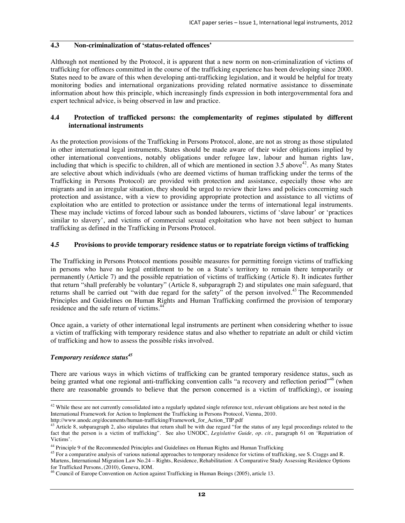## **4.3 Non-criminalization of 'status-related offences'**

Although not mentioned by the Protocol, it is apparent that a new norm on non-criminalization of victims of trafficking for offences committed in the course of the trafficking experience has been developing since 2000. States need to be aware of this when developing anti-trafficking legislation, and it would be helpful for treaty monitoring bodies and international organizations providing related normative assistance to disseminate information about how this principle, which increasingly finds expression in both intergovernmental fora and expert technical advice, is being observed in law and practice.

## **4.4 Protection of trafficked persons: the complementarity of regimes stipulated by different international instruments**

As the protection provisions of the Trafficking in Persons Protocol, alone, are not as strong as those stipulated in other international legal instruments, States should be made aware of their wider obligations implied by other international conventions, notably obligations under refugee law, labour and human rights law, including that which is specific to children, all of which are mentioned in section  $3.5$  above<sup>42</sup>. As many States are selective about which individuals (who are deemed victims of human trafficking under the terms of the Trafficking in Persons Protocol) are provided with protection and assistance, especially those who are migrants and in an irregular situation, they should be urged to review their laws and policies concerning such protection and assistance, with a view to providing appropriate protection and assistance to all victims of exploitation who are entitled to protection or assistance under the terms of international legal instruments. These may include victims of forced labour such as bonded labourers, victims of 'slave labour' or 'practices similar to slavery', and victims of commercial sexual exploitation who have not been subject to human trafficking as defined in the Trafficking in Persons Protocol.

## **4.5 Provisions to provide temporary residence status or to repatriate foreign victims of trafficking**

The Trafficking in Persons Protocol mentions possible measures for permitting foreign victims of trafficking in persons who have no legal entitlement to be on a State's territory to remain there temporarily or permanently (Article 7) and the possible repatriation of victims of trafficking (Article 8). It indicates further that return "shall preferably be voluntary" (Article 8, subparagraph 2) and stipulates one main safeguard, that returns shall be carried out "with due regard for the safety" of the person involved.<sup>43</sup> The Recommended Principles and Guidelines on Human Rights and Human Trafficking confirmed the provision of temporary residence and the safe return of victims.44

Once again, a variety of other international legal instruments are pertinent when considering whether to issue a victim of trafficking with temporary residence status and also whether to repatriate an adult or child victim of trafficking and how to assess the possible risks involved.

## *Temporary residence status<sup>45</sup>*

There are various ways in which victims of trafficking can be granted temporary residence status, such as being granted what one regional anti-trafficking convention calls "a recovery and reflection period"<sup>46</sup> (when there are reasonable grounds to believe that the person concerned is a victim of trafficking), or issuing

 $\ddot{\phantom{a}}$  $42$  While these are not currently consolidated into a regularly updated single reference text, relevant obligations are best noted in the International Framework for Action to Implement the Trafficking in Persons Protocol, Vienna, 2010.<br>http://www.unodc.org/documents/human-trafficking/Framework for Action TIP.pdf

 $43$  Article 8, subparagraph 2, also stipulates that return shall be with due regard "for the status of any legal proceedings related to the fact that the person is a victim of trafficking". See also UNODC, *Legislative Guide, op. cit.,* paragraph 61 on 'Repatriation of Victims'.

<sup>&</sup>lt;sup>44</sup> Principle 9 of the Recommended Principles and Guidelines on Human Rights and Human Trafficking<br><sup>45</sup> For a comparative analysis of various national approaches to temporary residence for victims of trafficking, see S. Martens, International Migration Law No.24 – Rights, Residence, Rehabilitation: A Comparative Study Assessing Residence Options for Trafficked Persons, (2010), Geneva, IOM.

<sup>46</sup> Council of Europe Convention on Action against Trafficking in Human Beings (2005), article 13.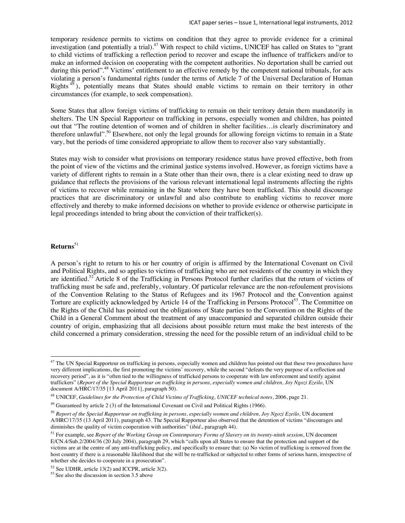temporary residence permits to victims on condition that they agree to provide evidence for a criminal investigation (and potentially a trial).<sup>47</sup> With respect to child victims, UNICEF has called on States to "grant to child victims of trafficking a reflection period to recover and escape the influence of traffickers and/or to make an informed decision on cooperating with the competent authorities. No deportation shall be carried out during this period".<sup>48</sup> Victims' entitlement to an effective remedy by the competent national tribunals, for acts violating a person's fundamental rights (under the terms of Article 7 of the Universal Declaration of Human Rights <sup>49</sup> ), potentially means that States should enable victims to remain on their territory in other circumstances (for example, to seek compensation).

Some States that allow foreign victims of trafficking to remain on their territory detain them mandatorily in shelters. The UN Special Rapporteur on trafficking in persons, especially women and children, has pointed out that "The routine detention of women and of children in shelter facilities…is clearly discriminatory and therefore unlawful".<sup>50</sup> Elsewhere, not only the legal grounds for allowing foreign victims to remain in a State vary, but the periods of time considered appropriate to allow them to recover also vary substantially.

States may wish to consider what provisions on temporary residence status have proved effective, both from the point of view of the victims and the criminal justice systems involved. However, as foreign victims have a variety of different rights to remain in a State other than their own, there is a clear existing need to draw up guidance that reflects the provisions of the various relevant international legal instruments affecting the rights of victims to recover while remaining in the State where they have been trafficked. This should discourage practices that are discriminatory or unlawful and also contribute to enabling victims to recover more effectively and thereby to make informed decisions on whether to provide evidence or otherwise participate in legal proceedings intended to bring about the conviction of their trafficker(s).

## **Returns**<sup>51</sup>

 $\ddot{\phantom{a}}$ 

A person's right to return to his or her country of origin is affirmed by the International Covenant on Civil and Political Rights, and so applies to victims of trafficking who are not residents of the country in which they are identified.52 Article 8 of the Trafficking in Persons Protocol further clarifies that the return of victims of trafficking must be safe and, preferably, voluntary. Of particular relevance are the non-refoulement provisions of the Convention Relating to the Status of Refugees and its 1967 Protocol and the Convention against Torture are explicitly acknowledged by Article 14 of the Trafficking in Persons Protocol<sup>53</sup>. The Committee on the Rights of the Child has pointed out the obligations of State parties to the Convention on the Rights of the Child in a General Comment about the treatment of any unaccompanied and separated children outside their country of origin, emphasizing that all decisions about possible return must make the best interests of the child concerned a primary consideration, stressing the need for the possible return of an individual child to be

<sup>&</sup>lt;sup>47</sup> The UN Special Rapporteur on trafficking in persons, especially women and children has pointed out that these two procedures have very different implications, the first promoting the victims' recovery, while the second "defeats the very purpose of a reflection and recovery period", as it is "often tied to the willingness of trafficked persons to cooperate with law enforcement and testify against traffickers" (*Report of the Special Rapporteur on trafficking in persons, especially women and children, Joy Ngozi Ezeilo,* UN document A/HRC/17/35 [13 April 2011], paragraph 50).

<sup>48</sup> UNICEF, *Guidelines for the Protection of Child Victims of Trafficking, UNICEF technical notes*, 2006, page 21.

<sup>49</sup> Guaranteed by article 2 (3) of the International Covenant on Civil and Political Rights (1966).

<sup>&</sup>lt;sup>50</sup> Report of the Special Rapporteur on trafficking in persons, especially women and children, Joy Ngozi Ezeilo, UN document A/HRC/17/35 (13 April 2011), paragraph 43. The Special Rapporteur also observed that the detention of victims "discourages and diminishes the quality of victim cooperation with authorities" (*ibid*., paragraph 44).

<sup>51</sup> For example, see *Report of the Working Group on Contemporary Forms of Slavery on its twenty-ninth session*, UN document E/CN.4/Sub.2/2004/36 (20 July 2004), paragraph 29, which "calls upon all States to ensure that the protection and support of the victims are at the centre of any anti-trafficking policy, and specifically to ensure that: (a) No victim of trafficking is removed from the host country if there is a reasonable likelihood that she will be re-trafficked or subjected to other forms of serious harm, irrespective of whether she decides to cooperate in a prosecution".

<sup>52</sup> See UDHR, article 13(2) and ICCPR, article 3(2).

<sup>53</sup> See also the discussion in section 3.5 above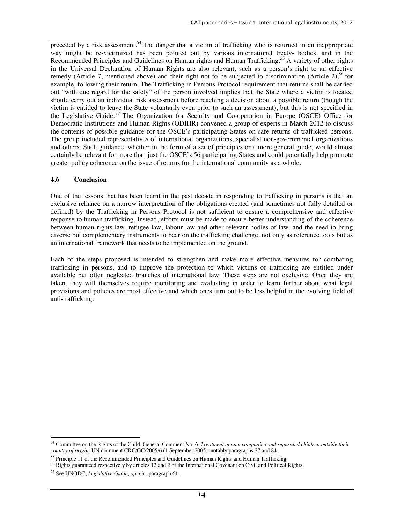preceded by a risk assessment.<sup>54</sup> The danger that a victim of trafficking who is returned in an inappropriate way might be re-victimized has been pointed out by various international treaty- bodies, and in the Recommended Principles and Guidelines on Human rights and Human Trafficking.55 A variety of other rights in the Universal Declaration of Human Rights are also relevant, such as a person's right to an effective remedy (Article 7, mentioned above) and their right not to be subjected to discrimination (Article 2),<sup>56</sup> for example, following their return. The Trafficking in Persons Protocol requirement that returns shall be carried out "with due regard for the safety" of the person involved implies that the State where a victim is located should carry out an individual risk assessment before reaching a decision about a possible return (though the victim is entitled to leave the State voluntarily even prior to such an assessment), but this is not specified in the Legislative Guide.<sup>57</sup> The Organization for Security and Co-operation in Europe (OSCE) Office for Democratic Institutions and Human Rights (ODIHR) convened a group of experts in March 2012 to discuss the contents of possible guidance for the OSCE's participating States on safe returns of trafficked persons. The group included representatives of international organizations, specialist non-governmental organizations and others. Such guidance, whether in the form of a set of principles or a more general guide, would almost certainly be relevant for more than just the OSCE's 56 participating States and could potentially help promote greater policy coherence on the issue of returns for the international community as a whole.

#### **4.6 Conclusion**

One of the lessons that has been learnt in the past decade in responding to trafficking in persons is that an exclusive reliance on a narrow interpretation of the obligations created (and sometimes not fully detailed or defined) by the Trafficking in Persons Protocol is not sufficient to ensure a comprehensive and effective response to human trafficking. Instead, efforts must be made to ensure better understanding of the coherence between human rights law, refugee law, labour law and other relevant bodies of law, and the need to bring diverse but complementary instruments to bear on the trafficking challenge, not only as reference tools but as an international framework that needs to be implemented on the ground.

Each of the steps proposed is intended to strengthen and make more effective measures for combating trafficking in persons, and to improve the protection to which victims of trafficking are entitled under available but often neglected branches of international law. These steps are not exclusive. Once they are taken, they will themselves require monitoring and evaluating in order to learn further about what legal provisions and policies are most effective and which ones turn out to be less helpful in the evolving field of anti-trafficking.

 $\overline{a}$ 54 Committee on the Rights of the Child, General Comment No. 6, *Treatment of unaccompanied and separated children outside their country of origin*, UN document CRC/GC/2005/6 (1 September 2005), notably paragraphs 27 and 84.

<sup>&</sup>lt;sup>55</sup> Principle 11 of the Recommended Principles and Guidelines on Human Rights and Human Trafficking  $56$  Rights guaranteed respectively by articles 12 and 2 of the International Covenant on Civil and Political Rights.

<sup>57</sup> See UNODC, *Legislative Guide, op. cit.,* paragraph 61.